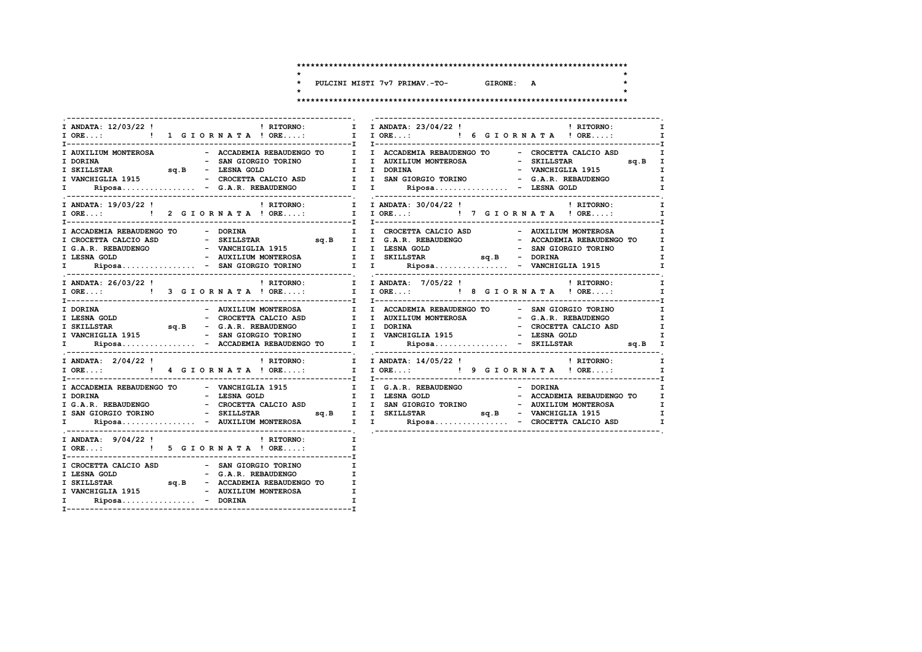$\star$ 

 $\star$ 

 $\star$ 

PULCINI MISTI 7v7 PRIMAV.-TO-GIRONE: A  $\star$ 

| <b>EXECUTE:</b> RITORNO:<br>I ANDATA: 12/03/22 !                                                                                                                                                                                    | I I ANDATA: 23/04/22 !<br>! RITORNO:<br>I                                                                                                                                                                                                                                                                                    |
|-------------------------------------------------------------------------------------------------------------------------------------------------------------------------------------------------------------------------------------|------------------------------------------------------------------------------------------------------------------------------------------------------------------------------------------------------------------------------------------------------------------------------------------------------------------------------|
|                                                                                                                                                                                                                                     | I AUXILIUM MONTEROSA COMO - ACCADEMIA REBAUDENGO TO COMO I I ACCADEMIA REBAUDENGO TO - CROCETTA CALCIO ASD<br>I<br>- SAN GIORGIO TORINO I I AUXILIUM MONTEROSA   - SKILLSTAR                                                                                                                                                 |
|                                                                                                                                                                                                                                     | ! RITORNO:<br>$\mathbf{I}$<br>Ι.                                                                                                                                                                                                                                                                                             |
| I ACCADEMIA REBAUDENGO TO - DORINA                                                                                                                                                                                                  | $\mathbb{Z}^{\mathbb{Z}}$ . If<br>I<br>$\mathbf{I}$<br>I<br>$\mathbf{I}$                                                                                                                                                                                                                                                     |
| I ANDATA: 26/03/22 !<br>I ORE: [ 3 GIORNATA ! ORE: I I ORE: [ 8 GIORNATA ! ORE:                                                                                                                                                     | $\mathbf{I}$<br>$\mathbf{I}$                                                                                                                                                                                                                                                                                                 |
| I DORINA<br>- AUXILIUM MONTEROSA                                                                                                                                                                                                    | I I ACCADEMIA REBAUDENGO TO - SAN GIORGIO TORINO<br>$\mathbf{I}$<br>ESNA GOLD<br>TRESNA GOLD<br>TRESNA GOLD<br>TRESNA GOLD<br>TRESNA GOLD<br>TRESNA GOLD<br>SAN ERAUDENCO (SAN REBAUDENCO I DORINA<br>TRESNA GOLD<br>SAN GIORGIO TORINO I VANCHIGLIA 1915<br>- ESNA GOLD<br>TRESNA GOLD<br>TRESNA GOLD<br>TRESNA GOLD<br>TRE |
|                                                                                                                                                                                                                                     | $\mathbf{I}$<br>$\mathbf{I}$                                                                                                                                                                                                                                                                                                 |
| I ACCADEMIA REBAUDENGO TO - VANCHIGLIA 1915 I I G.A.R. REBAUDENGO - DORINA                                                                                                                                                          | $\mathbf{I}$                                                                                                                                                                                                                                                                                                                 |
| I ANDATA: 9/04/22!<br>! RITORNO:<br>I ORE: ! 5 G I O R N A T A ! ORE:                                                                                                                                                               | $\mathbf{I}$<br>$\mathbf{I}$                                                                                                                                                                                                                                                                                                 |
| I CROCETTA CALCIO ASD - SAN GIORGIO TORINO<br>I LESNA GOLD - G.A.R. REBAUDENGO I<br>I SKILLSTAR SQ.B - ACCADEMIA REBAUDENGO TO I<br>- AUXILIUM MONTEROSA<br>I VANCHIGLIA 1915<br>$Riposa$ - DORINA<br>$\mathbf{I}$ and $\mathbf{I}$ | $\mathbf{I}$<br>$\mathbf I$<br>$\mathbf{I}$                                                                                                                                                                                                                                                                                  |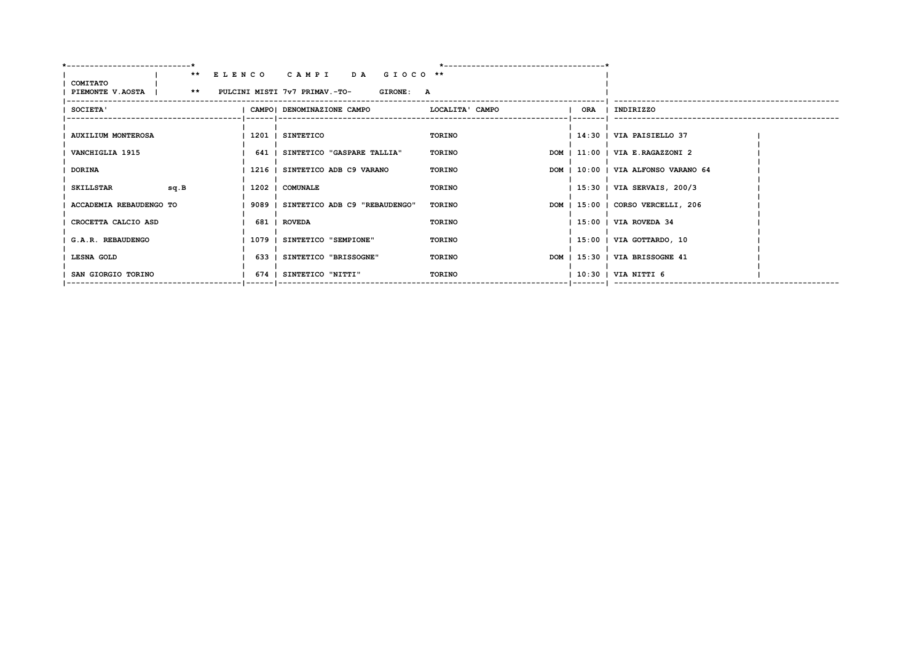| $***$<br>COMITATO                                   | ELENCO CAMPI<br>DA GIOCO <sup>**</sup> |                        |                                     |
|-----------------------------------------------------|----------------------------------------|------------------------|-------------------------------------|
| PIEMONTE V.AOSTA   ** PULCINI MISTI 7v7 PRIMAV.-TO- | <b>GIRONE: A</b>                       |                        |                                     |
| SOCIETA'                                            | CAMPO  DENOMINAZIONE CAMPO             | LOCALITA' CAMPO<br>ORA | I INDIRIZZO                         |
|                                                     |                                        |                        |                                     |
| <b>AUXILIUM MONTEROSA</b>                           | 1201   SINTETICO                       | <b>TORINO</b>          | 14:30   VIA PAISIELLO 37            |
| VANCHIGLIA 1915                                     | 641   SINTETICO "GASPARE TALLIA"       | TORINO                 | DOM   11:00   VIA E.RAGAZZONI 2     |
| <b>DORINA</b>                                       | 1216   SINTETICO ADB C9 VARANO         | TORINO                 | DOM   10:00   VIA ALFONSO VARANO 64 |
| SKILLSTAR<br>sq.B                                   | 1202   COMUNALE                        | <b>TORINO</b>          | 15:30   VIA SERVAIS, 200/3          |
| ACCADEMIA REBAUDENGO TO                             | 9089   SINTETICO ADB C9 "REBAUDENGO"   | TORINO                 | DOM   15:00   CORSO VERCELLI, 206   |
| CROCETTA CALCIO ASD                                 | 681   ROVEDA                           | TORINO                 | 15:00   VIA ROVEDA 34               |
| G.A.R. REBAUDENGO                                   | 1079   SINTETICO "SEMPIONE"            | <b>TORINO</b>          | 15:00   VIA GOTTARDO, 10            |
| LESNA GOLD                                          | 633   SINTETICO "BRISSOGNE"            | TORINO                 | DOM   15:30   VIA BRISSOGNE 41      |
| SAN GIORGIO TORINO                                  | 674   SINTETICO "NITTI"                | <b>TORINO</b>          | 10:30   VIA NITTI 6                 |
|                                                     |                                        |                        |                                     |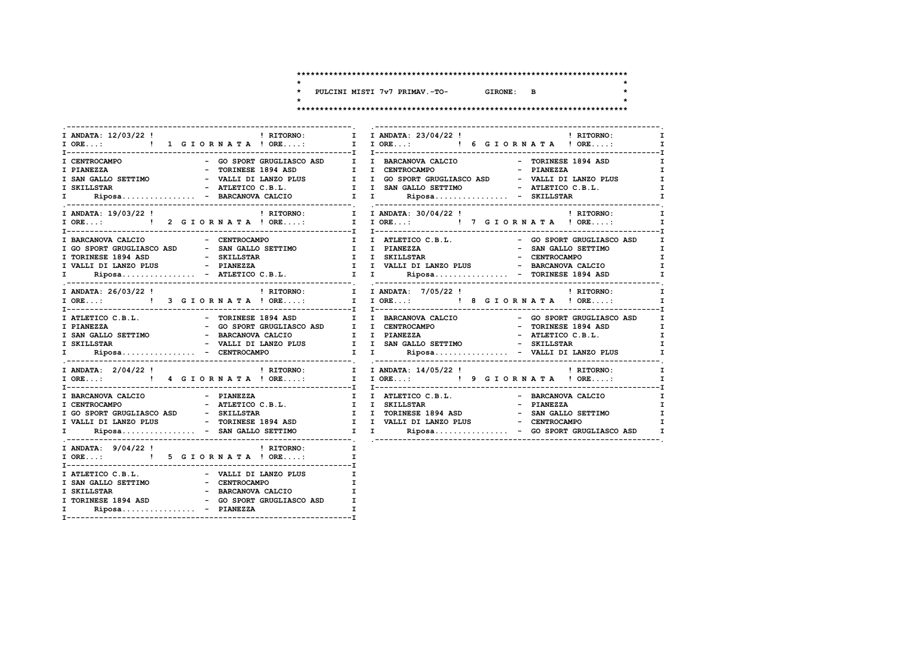GIRONE: B

 $\star$ 

 $\star$ 

 $\star$ 

 $\star$ 

\* PULCINI MISTI 7v7 PRIMAV.-TO-

| I ANDATA: 12/03/22 !<br>  RITORNO:                                        | I I ANDATA: 23/04/22 ! PHITORNO:                                                                                                                                                                                                    | $\mathbf{I}$                 |
|---------------------------------------------------------------------------|-------------------------------------------------------------------------------------------------------------------------------------------------------------------------------------------------------------------------------------|------------------------------|
|                                                                           |                                                                                                                                                                                                                                     |                              |
| - GO SPORT GRUGLIASCO ASD I I BARCANOVA CALCIO                            |                                                                                                                                                                                                                                     |                              |
| I CENTROCAMPO<br>- TORINESE 1894 ASD I I CENTROCAMPO                      | - TORINESE 1894 ASD                                                                                                                                                                                                                 | $\mathbf{I}$<br>$\mathbf{I}$ |
| I PIANEZZA<br>I SAN GALLO SETTIMO                                         |                                                                                                                                                                                                                                     |                              |
|                                                                           |                                                                                                                                                                                                                                     | $\mathbf{I}$                 |
| I SKILLSTAR                                                               |                                                                                                                                                                                                                                     | I                            |
| I.                                                                        |                                                                                                                                                                                                                                     | $\mathbf{I}$                 |
|                                                                           | I ANDATA: 19/03/22! THE PRITORNO: THE PRITORNO: I ANDATA: 30/04/22! THE PRITORNO: I                                                                                                                                                 |                              |
|                                                                           |                                                                                                                                                                                                                                     |                              |
|                                                                           |                                                                                                                                                                                                                                     |                              |
|                                                                           |                                                                                                                                                                                                                                     | $\mathbf{I}$                 |
|                                                                           |                                                                                                                                                                                                                                     | I                            |
|                                                                           |                                                                                                                                                                                                                                     | $\mathbf{I}$                 |
|                                                                           |                                                                                                                                                                                                                                     | I                            |
|                                                                           |                                                                                                                                                                                                                                     | $\mathbf{I}$                 |
|                                                                           |                                                                                                                                                                                                                                     |                              |
|                                                                           |                                                                                                                                                                                                                                     |                              |
|                                                                           | The Caption of the Caption of the Caption of the Caption of the Caption of the Caption of the Caption of the Caption of the Caption of the Caption of the Caption of the Caption of the Caption of the Caption of the Caption       |                              |
|                                                                           |                                                                                                                                                                                                                                     |                              |
|                                                                           |                                                                                                                                                                                                                                     |                              |
|                                                                           |                                                                                                                                                                                                                                     |                              |
|                                                                           |                                                                                                                                                                                                                                     |                              |
|                                                                           |                                                                                                                                                                                                                                     |                              |
|                                                                           |                                                                                                                                                                                                                                     |                              |
|                                                                           |                                                                                                                                                                                                                                     | $\mathbf{I}$                 |
|                                                                           |                                                                                                                                                                                                                                     |                              |
|                                                                           |                                                                                                                                                                                                                                     |                              |
|                                                                           | T TRATETICO C.B.L. - BARCANOVA CALCIO<br>I CENTROCAMPO - ATLETICO C.B.L. I I SKILLSTAR - PIANEZZA<br>I GO SPORT GRUGLIASCO ASD - SKILLSTAR I I TORINESE 1894 ASD - SAN GALLO SETTIMO<br>I VALLI DI LANZO PLUS - TORINESE 1894 ASD I | $\mathbf{I}$                 |
|                                                                           |                                                                                                                                                                                                                                     | $\mathbf I$                  |
|                                                                           |                                                                                                                                                                                                                                     | $\mathbf I$                  |
|                                                                           |                                                                                                                                                                                                                                     | I                            |
| $\mathbf{I}$ and $\mathbf{I}$                                             |                                                                                                                                                                                                                                     |                              |
|                                                                           |                                                                                                                                                                                                                                     |                              |
| I ANDATA: 9/04/22 !<br>! RITORNO:<br>$\mathbf{I}$ and $\mathbf{I}$        |                                                                                                                                                                                                                                     |                              |
| I ORE: ! 5 G I O R N A T A ! ORE:                                         | $\mathbf{I}$                                                                                                                                                                                                                        |                              |
|                                                                           |                                                                                                                                                                                                                                     |                              |
| I ATLETICO C.B.L. - VALLI DI LANZO PLUS                                   |                                                                                                                                                                                                                                     |                              |
| I SAN GALLO SETTIMO<br>I SKILLSTAR<br>- CENTROCAMPO<br>- BARCANOVA CALCIO |                                                                                                                                                                                                                                     |                              |
|                                                                           |                                                                                                                                                                                                                                     |                              |
| I TORINESE 1894 ASD - GO SPORT GRUGLIASCO ASD                             | I                                                                                                                                                                                                                                   |                              |
| Riposa - PIANEZZA<br>I.                                                   |                                                                                                                                                                                                                                     |                              |
|                                                                           |                                                                                                                                                                                                                                     |                              |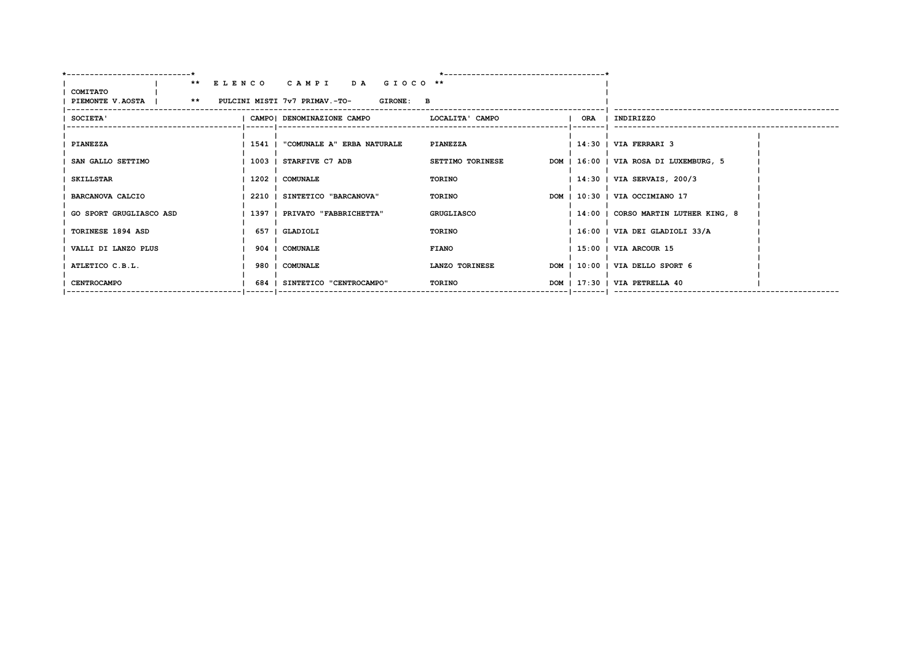| ---------------------------*                        |                                              |                         |     |                                        |
|-----------------------------------------------------|----------------------------------------------|-------------------------|-----|----------------------------------------|
|                                                     | ** ELENCO CAMPI DA GIOCO **                  |                         |     |                                        |
| COMITATO                                            |                                              |                         |     |                                        |
| PIEMONTE V.AOSTA   ** PULCINI MISTI 7v7 PRIMAV.-TO- | <b>GIRONE: B</b>                             |                         |     |                                        |
| <b>SOCIETA'</b>                                     | CAMPO  DENOMINAZIONE CAMPO   LOCALITA' CAMPO |                         | ORA | INDIRIZZO                              |
|                                                     |                                              |                         |     |                                        |
| <b>PIANEZZA</b>                                     | 1541   "COMUNALE A" ERBA NATURALE            | PIANEZZA                |     | $1$ 14:30 $\mid$ VIA FERRARI 3         |
| SAN GALLO SETTIMO                                   | 1003   STARFIVE C7 ADB                       | <b>SETTIMO TORINESE</b> |     | DOM   16:00   VIA ROSA DI LUXEMBURG, 5 |
| <b>SKILLSTAR</b>                                    | 1202   COMUNALE                              | TORINO                  |     | 14:30   VIA SERVAIS, 200/3             |
| <b>BARCANOVA CALCIO</b>                             | 2210   SINTETICO "BARCANOVA"                 | TORINO                  |     | DOM   10:30   VIA OCCIMIANO 17         |
| GO SPORT GRUGLIASCO ASD                             | 1397   PRIVATO "FABBRICHETTA"                | GRUGLIASCO              |     | 14:00   CORSO MARTIN LUTHER KING, 8    |
| <b>TORINESE 1894 ASD</b>                            | 657   GLADIOLI                               | TORINO                  |     | $1\,16:00$   VIA DEI GLADIOLI 33/A     |
| VALLI DI LANZO PLUS                                 | 904   COMUNALE                               | <b>FIANO</b>            |     | 15:00   VIA ARCOUR 15                  |
| ATLETICO C.B.L.                                     | 980 I COMUNALE                               | LANZO TORINESE          |     | DOM   10:00   VIA DELLO SPORT 6        |
| <b>CENTROCAMPO</b>                                  | 684   SINTETICO "CENTROCAMPO"                | TORINO                  |     | DOM   17:30   VIA PETRELLA 40          |
|                                                     |                                              |                         |     |                                        |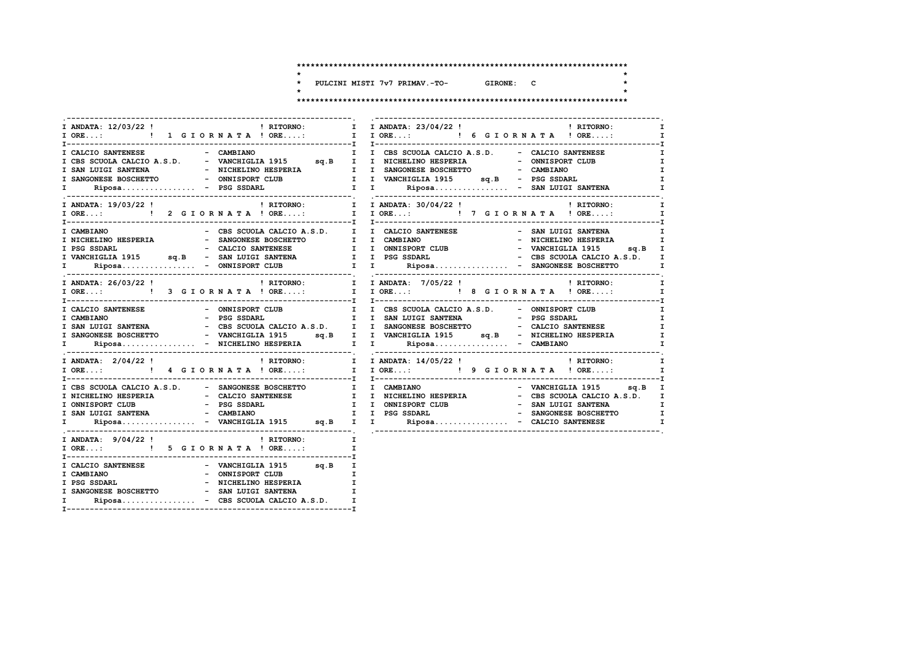$\star$ 

 $\star$ 

 $\star$ 

 $\ddot{\phantom{1}}$ PULCINI MISTI 7v7 PRIMAV.-TO- GIRONE: C  $\star$ 

 $\overline{a}$ 

| I ANDATA: 12/03/22 ! PATTORNO:                                | I I ANDATA: 23/04/22 ! THE PRITORNO:<br>$\mathbf{I}$                                                                                                                                                                                                   |
|---------------------------------------------------------------|--------------------------------------------------------------------------------------------------------------------------------------------------------------------------------------------------------------------------------------------------------|
|                                                               | I ORE: 1 G I OR N A T A ! ORE: I I ORE: 1 6 G I OR N A T A ! ORE:<br>$\mathbf{I}$ and $\mathbf{I}$                                                                                                                                                     |
|                                                               |                                                                                                                                                                                                                                                        |
| I CALCIO SANTENESE - CAMBIANO                                 | I I CBS SCUOLA CALCIO A.S.D. - CALCIO SANTENESE<br>$\mathbf{I}$                                                                                                                                                                                        |
|                                                               | $\mathbf{I}$                                                                                                                                                                                                                                           |
|                                                               | $\mathbf{I}$                                                                                                                                                                                                                                           |
|                                                               | I                                                                                                                                                                                                                                                      |
|                                                               | T CBS SCUOLA CALCIO A.S.D.<br>T CBS SCUOLA CALCIO A.S.D.<br>T SAN LUIGI SANTENA – NICHELINO HESPERIA I I SANGONESE BOSCHETTO – CAMBIANO<br>T SANGONESE BOSCHETTO – ONNISPORT CLUB<br>T T VANCHIGLIA 1915 sq.B – PSG SSDARL<br>T Riposa<br>$\mathbf{I}$ |
|                                                               | I ANDATA: $19/03/22$ ! CITORNO: T I ANDATA: $30/04/22$ ! CITORNO:<br>$\mathbf{I}$                                                                                                                                                                      |
|                                                               |                                                                                                                                                                                                                                                        |
|                                                               |                                                                                                                                                                                                                                                        |
|                                                               |                                                                                                                                                                                                                                                        |
|                                                               |                                                                                                                                                                                                                                                        |
|                                                               |                                                                                                                                                                                                                                                        |
|                                                               |                                                                                                                                                                                                                                                        |
|                                                               | T CAMBIANO - CBS SCUOLA CALCIO A.S.D.<br>T NICHELINO HESPERIA - SANGONESE BOSCHETTO I I CAMBIANO - VICHELINO HESPERIA I<br>T PSG SSDARL - CALCIO SANTENESE I I ONNISPORT CLUB - VANCHIGLIA 1915 sq.B<br>T VANCHIGLIA 1915 sq.B - SAN                   |
|                                                               |                                                                                                                                                                                                                                                        |
|                                                               |                                                                                                                                                                                                                                                        |
|                                                               | T CALCIO SANTENESE - ONNISPORT CLUB – I CBS SCUOLA CALCIO A.S.D. - ONNISPORT CLUB I<br>I CAMBIANO – PSG SSDARL – I SAN LUIGI SANTENA – PSG SSDARL I<br>I SAN LUIGI SANTENA – CBS SCUOLA CALCIO A.S.D. I I SANGONESE BOSCHETTO – CA                     |
|                                                               |                                                                                                                                                                                                                                                        |
|                                                               |                                                                                                                                                                                                                                                        |
|                                                               |                                                                                                                                                                                                                                                        |
|                                                               |                                                                                                                                                                                                                                                        |
|                                                               |                                                                                                                                                                                                                                                        |
|                                                               | $\mathbf{I}$                                                                                                                                                                                                                                           |
|                                                               |                                                                                                                                                                                                                                                        |
|                                                               |                                                                                                                                                                                                                                                        |
| I CBS SCUOLA CALCIO A.S.D. - SANGONESE BOSCHETTO I I CAMBIANO | - VANCHIGLIA 1915 sq.B I                                                                                                                                                                                                                               |
|                                                               |                                                                                                                                                                                                                                                        |
|                                                               |                                                                                                                                                                                                                                                        |
|                                                               |                                                                                                                                                                                                                                                        |
|                                                               | TRICHELINO HESPERIA<br>TRICHELINO HESPERIA<br>TRICHELINO HESPERIA<br>TRICHELINO HESPERIA<br>TRICHELINO HESPERIA<br>TRICHELINO HESPERIA<br>TRICHELINO HESPERIA<br>TRICHELINO HESPERIA<br>TRICHELINO HESPERIA<br>TRICHELINO HESPERIA<br>TRICHELINO H     |
| I ANDATA: $9/04/22$ ! RITORNO:                                | $\mathbf{r}$ and $\mathbf{r}$                                                                                                                                                                                                                          |
| I ORE: ! 5 G I O R N A T A ! ORE:                             | $\mathbf{I}$                                                                                                                                                                                                                                           |
|                                                               |                                                                                                                                                                                                                                                        |
| I CALCIO SANTENESE $-$ VANCHIGLIA 1915 sq.B I                 |                                                                                                                                                                                                                                                        |
|                                                               |                                                                                                                                                                                                                                                        |
|                                                               |                                                                                                                                                                                                                                                        |
| I SANGONESE BOSCHETTO - SAN LUIGI SANTENA                     |                                                                                                                                                                                                                                                        |
| $Riposa$ - CBS SCUOLA CALCIO A.S.D.<br>$\mathbf{I}$           |                                                                                                                                                                                                                                                        |
|                                                               |                                                                                                                                                                                                                                                        |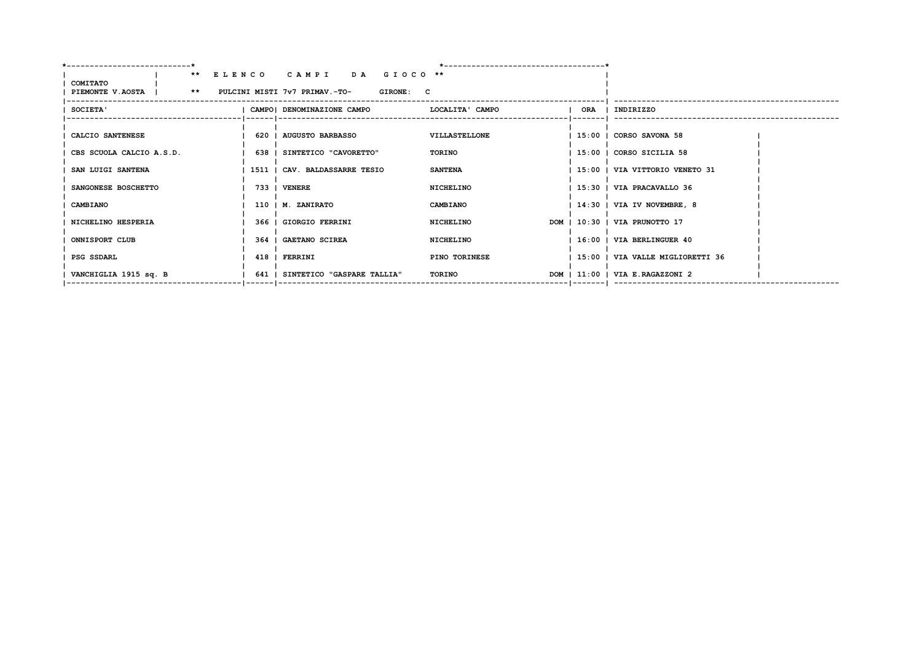|                          | ** ELENCO CAMPI DA GIOCO **                          |                            |                                  |
|--------------------------|------------------------------------------------------|----------------------------|----------------------------------|
| COMITATO                 |                                                      |                            |                                  |
| PIEMONTE V.AOSTA         | ** PULCINI MISTI 7v7 PRIMAV.-TO-<br><b>GIRONE: C</b> |                            |                                  |
| SOCIETA'                 | CAMPO  DENOMINAZIONE CAMPO                           | I ORA I<br>LOCALITA' CAMPO | INDIRIZZO                        |
|                          |                                                      |                            |                                  |
| CALCIO SANTENESE         | 620   AUGUSTO BARBASSO                               | VILLASTELLONE              | 15:00   CORSO SAVONA 58          |
|                          |                                                      |                            |                                  |
| CBS SCUOLA CALCIO A.S.D. | 638   SINTETICO "CAVORETTO"                          | TORINO                     | 15:00   CORSO SICILIA 58         |
| SAN LUIGI SANTENA        | 1511   CAV. BALDASSARRE TESIO                        | <b>SANTENA</b>             | 15:00   VIA VITTORIO VENETO 31   |
| SANGONESE BOSCHETTO      | 733 I VENERE                                         | NICHELINO                  | 15:30   VIA PRACAVALLO 36        |
| CAMBIANO                 | 110   M. ZANIRATO                                    | <b>CAMBIANO</b>            | $ 14:30 $ VIA IV NOVEMBRE, 8     |
| NICHELINO HESPERIA       | 366   GIORGIO FERRINI                                | NICHELINO                  | DOM   10:30   VIA PRUNOTTO 17    |
| ONNISPORT CLUB           | 364   GAETANO SCIREA                                 | NICHELINO                  | 16:00   VIA BERLINGUER 40        |
| PSG SSDARL               | 418   FERRINI                                        | PINO TORINESE              | 15:00   VIA VALLE MIGLIORETTI 36 |
| VANCHIGLIA 1915 sq. B    | 641   SINTETICO "GASPARE TALLIA"                     | TORINO                     | DOM   11:00   VIA E.RAGAZZONI 2  |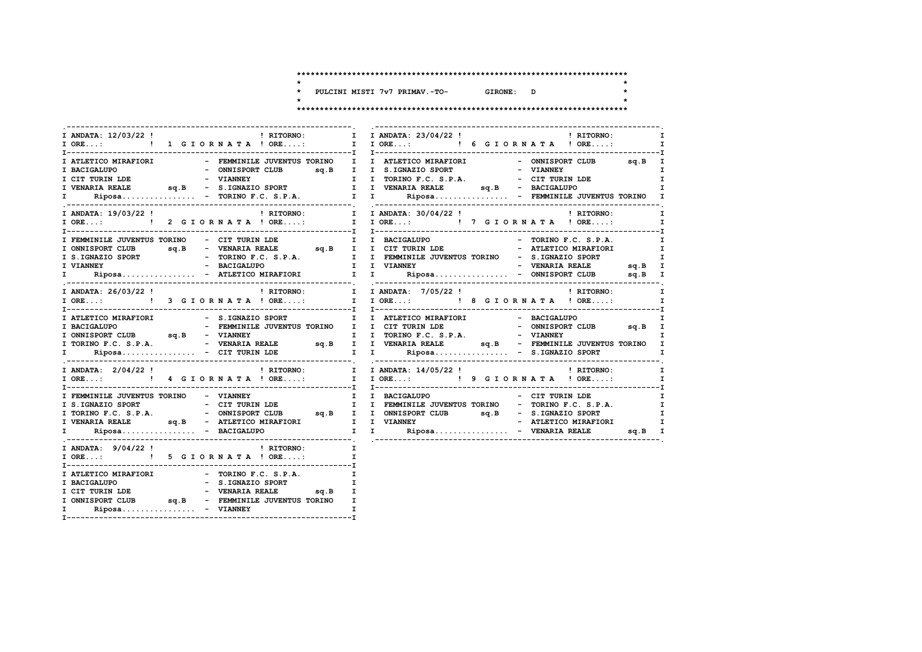$\star$ 

 $\star$  $\star$ 

 $\star$ 

\* PULCINI MISTI 7v7 PRIMAV.-TO-GIRONE: D

| <b>EXECUTE:</b> RITORNO:<br>I ANDATA: 12/03/22 !<br>$\mathbf{I}$<br>I ORE: ! 1 G I O R N A T A ! ORE: | <b>EXECUTE:</b> RITORNO:<br>I ANDATA: 23/04/22 !<br>I IORE: ! 6 GIORNATA ! ORE:<br>$\mathbf{I}$                                                                                                                                                                                                                                                                                                                                                           |
|-------------------------------------------------------------------------------------------------------|-----------------------------------------------------------------------------------------------------------------------------------------------------------------------------------------------------------------------------------------------------------------------------------------------------------------------------------------------------------------------------------------------------------------------------------------------------------|
|                                                                                                       |                                                                                                                                                                                                                                                                                                                                                                                                                                                           |
| I ATLETICO MIRAFIORI<br>I BACIGALUPO<br>- ONNISPORT CLUB sq.B I I S.IGNAZIO SPORT                     |                                                                                                                                                                                                                                                                                                                                                                                                                                                           |
|                                                                                                       |                                                                                                                                                                                                                                                                                                                                                                                                                                                           |
|                                                                                                       |                                                                                                                                                                                                                                                                                                                                                                                                                                                           |
|                                                                                                       |                                                                                                                                                                                                                                                                                                                                                                                                                                                           |
|                                                                                                       |                                                                                                                                                                                                                                                                                                                                                                                                                                                           |
|                                                                                                       | ! RITORNO: [ I ANDATA: 30/04/22 !   RITORNO: [ I ANDATA: 30/04/22 !   RITORNO: [ I CRE:   PRITORNO: I CRE.                                                                                                                                                                                                                                                                                                                                                |
|                                                                                                       | $\mathbf{I}$                                                                                                                                                                                                                                                                                                                                                                                                                                              |
|                                                                                                       |                                                                                                                                                                                                                                                                                                                                                                                                                                                           |
|                                                                                                       |                                                                                                                                                                                                                                                                                                                                                                                                                                                           |
|                                                                                                       |                                                                                                                                                                                                                                                                                                                                                                                                                                                           |
|                                                                                                       |                                                                                                                                                                                                                                                                                                                                                                                                                                                           |
|                                                                                                       |                                                                                                                                                                                                                                                                                                                                                                                                                                                           |
|                                                                                                       | $\begin{tabular}{l c c c c c c} \hline \texttt{FEMMINILE JUVENTUS TORINO} & - & \texttt{CIT TURIN LDE} & & & \texttt{I} & \texttt{BACIGALUPO} & & - & \texttt{TORINO F.C. S.P.A.} & & \texttt{I} \\ \hline \texttt{I ONNISPORT CLUB} & \texttt{sq.B} & - & \texttt{VENARIA REALE} & \texttt{sq.B} & \texttt{I} & \texttt{CIT TURIN LDE} & - & \texttt{ATLETICO MIRAFIORI} & & \texttt{I} \\ \texttt{I S.IGNAZIO SPORT} & - & \texttt{TORINO F.C. S.P.A.}$ |
|                                                                                                       | $I ANDATA: 26/03/22 !$<br>PRITORNO:<br><br><br>PRITORNO:<br><br><br><br><br><br><br><br><br><br><br><br><br><br><br><br>$\mathbf{I}$                                                                                                                                                                                                                                                                                                                      |
|                                                                                                       | I ORE:  1 I ORE:  1 I ORE:  1 I ORE:  I I ORE:  I I ORE:  I I ORE:  I I ORE  I ORE                                                                                                                                                                                                                                                                                                                                                                        |
|                                                                                                       |                                                                                                                                                                                                                                                                                                                                                                                                                                                           |
| I ATLETICO MIRAFIORI - S.IGNAZIO SPORT                                                                | I I ATLETICO MIRAFIORI<br>- BACIGALUPO                                                                                                                                                                                                                                                                                                                                                                                                                    |
|                                                                                                       |                                                                                                                                                                                                                                                                                                                                                                                                                                                           |
| I ONNISPORT CLUB sq.B - VIANNEY                                                                       |                                                                                                                                                                                                                                                                                                                                                                                                                                                           |
|                                                                                                       | T TORINO F.C. S.P.A. - VIANNEY I<br>I TORINO F.C. S.P.A. - PENARIA REALE SQ.B I I VENARIA REALE SQ.B - FEMMINILE JUVENTUS TORINO I<br>I TORINO F.C. S.P.A. - CETTURIN LDE I I VENARIA REALE SQ.B - FEMMINILE JUVENTUS TORINO I<br>I Rip                                                                                                                                                                                                                   |
|                                                                                                       |                                                                                                                                                                                                                                                                                                                                                                                                                                                           |
|                                                                                                       |                                                                                                                                                                                                                                                                                                                                                                                                                                                           |
|                                                                                                       |                                                                                                                                                                                                                                                                                                                                                                                                                                                           |
|                                                                                                       |                                                                                                                                                                                                                                                                                                                                                                                                                                                           |
|                                                                                                       | $\mathbf{I}$                                                                                                                                                                                                                                                                                                                                                                                                                                              |
|                                                                                                       | $\mathbf{I}$                                                                                                                                                                                                                                                                                                                                                                                                                                              |
|                                                                                                       |                                                                                                                                                                                                                                                                                                                                                                                                                                                           |
|                                                                                                       |                                                                                                                                                                                                                                                                                                                                                                                                                                                           |
|                                                                                                       |                                                                                                                                                                                                                                                                                                                                                                                                                                                           |
| I ANDATA: $9/04/22$ !<br><b>Example 1</b> RITORNO:                                                    | $\mathbf{I}$                                                                                                                                                                                                                                                                                                                                                                                                                                              |
| I ORE: ! 5 G I O R N A T A ! ORE:                                                                     | $\mathbf{I}$                                                                                                                                                                                                                                                                                                                                                                                                                                              |
|                                                                                                       |                                                                                                                                                                                                                                                                                                                                                                                                                                                           |
|                                                                                                       |                                                                                                                                                                                                                                                                                                                                                                                                                                                           |
|                                                                                                       |                                                                                                                                                                                                                                                                                                                                                                                                                                                           |
|                                                                                                       |                                                                                                                                                                                                                                                                                                                                                                                                                                                           |
|                                                                                                       |                                                                                                                                                                                                                                                                                                                                                                                                                                                           |
| Riposa - VIANNEY<br>$\mathbf{I}$ and $\mathbf{I}$                                                     |                                                                                                                                                                                                                                                                                                                                                                                                                                                           |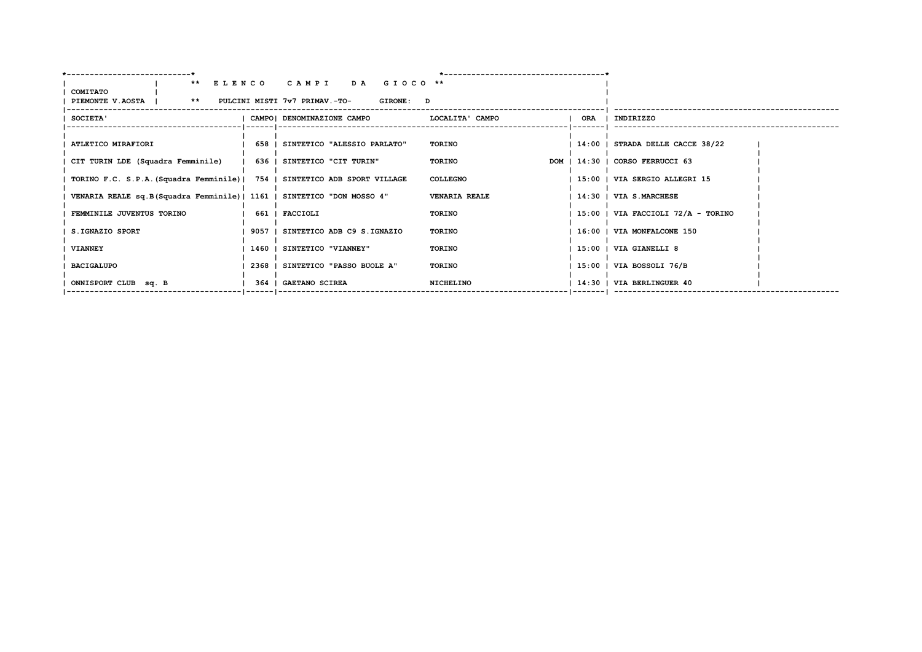| <b>COMITATO</b>                                                            | ** ELENCO CAMPI DA GIOCO **       |                      |                                      |
|----------------------------------------------------------------------------|-----------------------------------|----------------------|--------------------------------------|
| PIEMONTE V.AOSTA   ** PULCINI MISTI 7v7 PRIMAV.-TO-                        | <b>GIRONE: D</b>                  |                      |                                      |
| SOCIETA'                                                                   | CAMPO! DENOMINAZIONE CAMPO        | LOCALITA' CAMPO      | ORA   INDIRIZZO                      |
|                                                                            |                                   |                      |                                      |
| ATLETICO MIRAFIORI                                                         | 658   SINTETICO "ALESSIO PARLATO" | TORINO               | $ 14:00 $ STRADA DELLE CACCE 38/22   |
| CIT TURIN LDE (Squadra Femminile)   636   SINTETICO "CIT TURIN"            |                                   | TORINO               | DOM   14:30   CORSO FERRUCCI 63      |
| TORINO F.C. S.P.A. (Squadra Femminile)   754   SINTETICO ADB SPORT VILLAGE |                                   | <b>COLLEGNO</b>      | 15:00   VIA SERGIO ALLEGRI 15        |
| VENARIA REALE sq.B(Squadra Femminile)   1161   SINTETICO "DON MOSSO 4"     |                                   | <b>VENARIA REALE</b> | 14:30   VIA S.MARCHESE               |
| FEMMINILE JUVENTUS TORINO                                                  | 661   FACCIOLI                    | TORINO               | $15:00$   VIA FACCIOLI 72/A - TORINO |
| S.IGNAZIO SPORT                                                            | 9057   SINTETICO ADB C9 S.IGNAZIO | TORINO               | 16:00   VIA MONFALCONE 150           |
| <b>VIANNEY</b>                                                             | 1460   SINTETICO "VIANNEY"        | TORINO               | 15:00   VIA GIANELLI 8               |
| <b>BACIGALUPO</b>                                                          | 2368   SINTETICO "PASSO BUOLE A"  | TORINO               | 15:00   VIA BOSSOLI 76/B             |
| ONNISPORT CLUB sq. B                                                       | 364   GAETANO SCIREA              | NICHELINO            | 14:30   VIA BERLINGUER 40            |
|                                                                            |                                   |                      |                                      |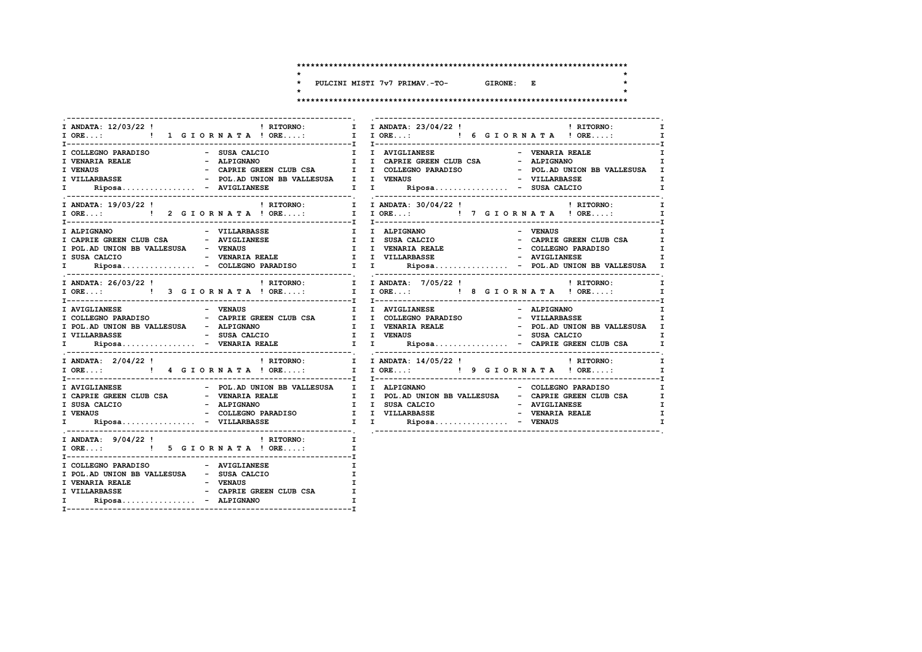$\star$ 

 $\star$ 

 $\star$ 

PULCINI MISTI 7v7 PRIMAV.-TO-GIRONE: E  $\star$ 

|                                                                                                                          |                                         | $\mathbf{I}$                                                                                                                               |
|--------------------------------------------------------------------------------------------------------------------------|-----------------------------------------|--------------------------------------------------------------------------------------------------------------------------------------------|
| I COLLEGNO PARADISO - SUSA CALCIO<br>I VENARIA REALE<br>I VENAUS<br>I VILLARBASSE<br>I.                                  |                                         | I I AVIGLIANESE<br>- VENARIA REALE<br>I<br>$\mathbf{I}$                                                                                    |
|                                                                                                                          |                                         |                                                                                                                                            |
|                                                                                                                          | - VILLARBASSE                           |                                                                                                                                            |
|                                                                                                                          |                                         | I ANDATA: 26/03/22! ! RITORNO: I I ANDATA: 7/05/22! ! ! RITORNO: I DRE: ! 9 GIORNATA! ORE: "<br>! RITORNO:<br>$\mathbf{I}$<br>$\mathbf{I}$ |
| I AVIGLIANESE                                                                                                            | - VENAUS                                | I I AVIGLIANESE<br>- ALPIGNANO<br>I<br>$\mathbf{I}$                                                                                        |
| I ANDATA: $2/04/22$ !                                                                                                    |                                         | I ORE:  1 I ORE:  1 I ORE:  1 I ORE:  1 I ORE:  1 I ORE:  1 I ORE:  1 I ORE<br>$\mathbf{I}$ and $\mathbf{I}$                               |
| I CAPRIE GREEN CLUB CSA - VENARIA REALE<br>I SUSA CALCIO<br><b>I VENAUS</b><br>$\mathbf{I}$ and $\mathbf{I}$             |                                         | - COLLEGNO PARADISO       I<br>I I POL.AD UNION BB VALLESUSA - CAPRIE GREEN CLUB CSA I I SUSA CALCIO - AVIGLIANESE I<br>I<br>I.            |
| I ORE: ! 5 G I O R N A T A ! ORE:                                                                                        | I ANDATA: $9/04/22$ ! (RITORNO: I       | $\mathbf{I}$                                                                                                                               |
| I COLLEGNO PARADISO<br>I POL. AD UNION BB VALLESUSA - SUSA CALCIO<br>I VENARIA REALE <b>AND - PENAUS</b><br>$\mathbf{I}$ | - AVIGLIANESE<br>$Riposa$ - $ALPIGNANO$ | $\mathbf{I}$                                                                                                                               |